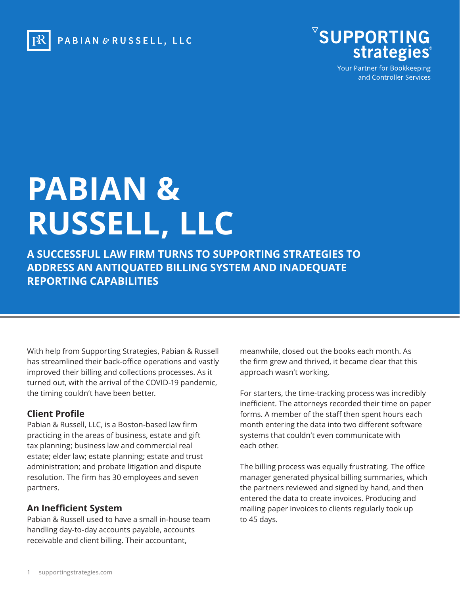



Your Partner for Bookkeeping and Controller Services

# **PABIAN & RUSSELL, LLC**

**A SUCCESSFUL LAW FIRM TURNS TO SUPPORTING STRATEGIES TO ADDRESS AN ANTIQUATED BILLING SYSTEM AND INADEQUATE REPORTING CAPABILITIES**

With help from Supporting Strategies, Pabian & Russell has streamlined their back-office operations and vastly improved their billing and collections processes. As it turned out, with the arrival of the COVID-19 pandemic, the timing couldn't have been better.

### **Client Profile**

Pabian & Russell, LLC, is a Boston-based law firm practicing in the areas of business, estate and gift tax planning; business law and commercial real estate; elder law; estate planning; estate and trust administration; and probate litigation and dispute resolution. The firm has 30 employees and seven partners.

### **An Inefficient System**

Pabian & Russell used to have a small in-house team handling day-to-day accounts payable, accounts receivable and client billing. Their accountant,

meanwhile, closed out the books each month. As the firm grew and thrived, it became clear that this approach wasn't working.

For starters, the time-tracking process was incredibly inefficient. The attorneys recorded their time on paper forms. A member of the staff then spent hours each month entering the data into two different software systems that couldn't even communicate with each other.

The billing process was equally frustrating. The office manager generated physical billing summaries, which the partners reviewed and signed by hand, and then entered the data to create invoices. Producing and mailing paper invoices to clients regularly took up to 45 days.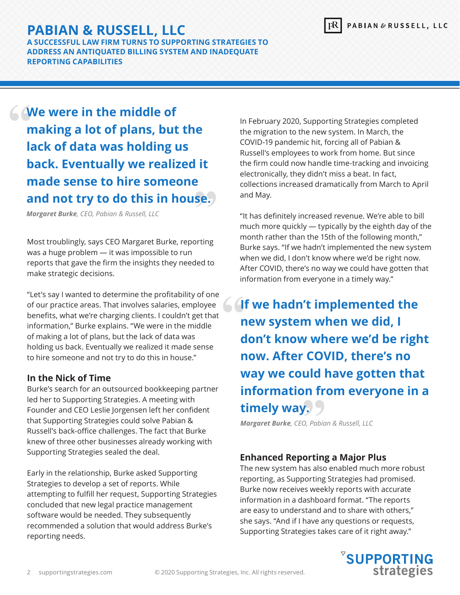## **PABIAN & RUSSELL, LLC**

**A SUCCESSFUL LAW FIRM TURNS TO SUPPORTING STRATEGIES TO ADDRESS AN ANTIQUATED BILLING SYSTEM AND INADEQUATE REPORTING CAPABILITIES**

**We were in the middle of making a lot of plans, but the lack of data was holding us back. Eventually we realized it made sense to hire someone and not try to do this in house.**

*Margaret Burke, CEO, Pabian & Russell, LLC*

Most troublingly, says CEO Margaret Burke, reporting was a huge problem — it was impossible to run reports that gave the firm the insights they needed to make strategic decisions.

"Let's say I wanted to determine the profitability of one of our practice areas. That involves salaries, employee benefits, what we're charging clients. I couldn't get that information," Burke explains. "We were in the middle of making a lot of plans, but the lack of data was holding us back. Eventually we realized it made sense to hire someone and not try to do this in house."

## **In the Nick of Time**

Burke's search for an outsourced bookkeeping partner led her to Supporting Strategies. A meeting with Founder and CEO Leslie Jorgensen left her confident that Supporting Strategies could solve Pabian & Russell's back-office challenges. The fact that Burke knew of three other businesses already working with Supporting Strategies sealed the deal.

Early in the relationship, Burke asked Supporting Strategies to develop a set of reports. While attempting to fulfill her request, Supporting Strategies concluded that new legal practice management software would be needed. They subsequently recommended a solution that would address Burke's reporting needs.

In February 2020, Supporting Strategies completed the migration to the new system. In March, the COVID-19 pandemic hit, forcing all of Pabian & Russell's employees to work from home. But since the firm could now handle time-tracking and invoicing electronically, they didn't miss a beat. In fact, collections increased dramatically from March to April and May.

"It has definitely increased revenue. We're able to bill much more quickly — typically by the eighth day of the month rather than the 15th of the following month," Burke says. "If we hadn't implemented the new system when we did, I don't know where we'd be right now. After COVID, there's no way we could have gotten that information from everyone in a timely way."

**If we hadn't implemented the new system when we did, I don't know where we'd be right now. After COVID, there's no way we could have gotten that information from everyone in a timely way.**

*Margaret Burke, CEO, Pabian & Russell, LLC*

## **Enhanced Reporting a Major Plus**

The new system has also enabled much more robust reporting, as Supporting Strategies had promised. Burke now receives weekly reports with accurate information in a dashboard format. "The reports are easy to understand and to share with others," she says. "And if I have any questions or requests, Supporting Strategies takes care of it right away."